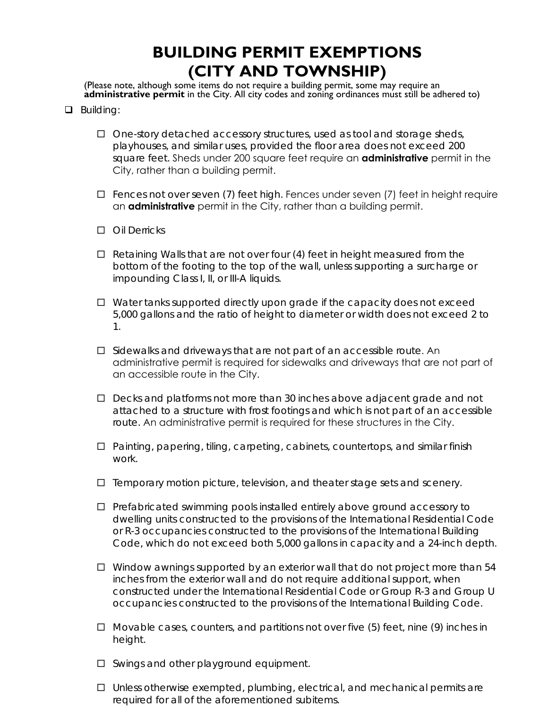## **BUILDING PERMIT EXEMPTIONS (CITY AND TOWNSHIP)**

(Please note, although some items do not require a building permit, some may require an **administrative permit** in the City. All city codes and zoning ordinances must still be adhered to)

- **Q** Building:
	- $\Box$  One-story detached accessory structures, used as tool and storage sheds, playhouses, and similar uses, provided the floor area does not exceed 200 square feet. Sheds under 200 square feet require an **administrative** permit in the City, rather than a building permit.
	- $\Box$  Fences not over seven (7) feet high. Fences under seven (7) feet in height require an **administrative** permit in the City, rather than a building permit.
	- □ Oil Derricks
	- $\Box$  Retaining Walls that are not over four (4) feet in height measured from the bottom of the footing to the top of the wall, unless supporting a surcharge or impounding Class I, II, or III-A liquids.
	- $\Box$  Water tanks supported directly upon grade if the capacity does not exceed 5,000 gallons and the ratio of height to diameter or width does not exceed 2 to 1.
	- $\square$  Sidewalks and driveways that are not part of an accessible route. An administrative permit is required for sidewalks and driveways that are not part of an accessible route in the City.
	- $\Box$  Decks and platforms not more than 30 inches above adjacent grade and not attached to a structure with frost footings and which is not part of an accessible route. An administrative permit is required for these structures in the City.
	- $\Box$  Painting, papering, tiling, carpeting, cabinets, countertops, and similar finish work.
	- $\Box$  Temporary motion picture, television, and theater stage sets and scenery.
	- $\Box$  Prefabricated swimming pools installed entirely above ground accessory to dwelling units constructed to the provisions of the International Residential Code or R-3 occupancies constructed to the provisions of the International Building Code, which do not exceed both 5,000 gallons in capacity and a 24-inch depth.
	- $\Box$  Window awnings supported by an exterior wall that do not project more than 54 inches from the exterior wall and do not require additional support, when constructed under the International Residential Code or Group R-3 and Group U occupancies constructed to the provisions of the International Building Code.
	- $\Box$  Movable cases, counters, and partitions not over five (5) feet, nine (9) inches in height.
	- $\square$  Swings and other playground equipment.
	- $\Box$  Unless otherwise exempted, plumbing, electrical, and mechanical permits are required for all of the aforementioned subitems.